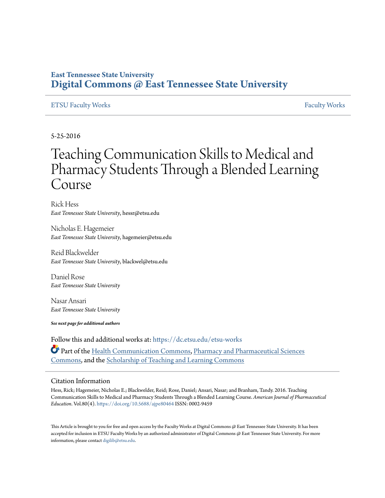### **East Tennessee State University [Digital Commons @ East Tennessee State University](https://dc.etsu.edu?utm_source=dc.etsu.edu%2Fetsu-works%2F1478&utm_medium=PDF&utm_campaign=PDFCoverPages)**

#### [ETSU Faculty Works](https://dc.etsu.edu/etsu-works?utm_source=dc.etsu.edu%2Fetsu-works%2F1478&utm_medium=PDF&utm_campaign=PDFCoverPages) [Faculty Works](https://dc.etsu.edu/faculty-works?utm_source=dc.etsu.edu%2Fetsu-works%2F1478&utm_medium=PDF&utm_campaign=PDFCoverPages)

5-25-2016

# Teaching Communication Skills to Medical and Pharmacy Students Through a Blended Learning Course

Rick Hess *East Tennessee State University*, hessr@etsu.edu

Nicholas E. Hagemeier *East Tennessee State University*, hagemeier@etsu.edu

Reid Blackwelder *East Tennessee State University*, blackwel@etsu.edu

Daniel Rose *East Tennessee State University*

Nasar Ansari *East Tennessee State University*

*See next page for additional authors*

Follow this and additional works at: [https://dc.etsu.edu/etsu-works](https://dc.etsu.edu/etsu-works?utm_source=dc.etsu.edu%2Fetsu-works%2F1478&utm_medium=PDF&utm_campaign=PDFCoverPages) Part of the [Health Communication Commons](http://network.bepress.com/hgg/discipline/330?utm_source=dc.etsu.edu%2Fetsu-works%2F1478&utm_medium=PDF&utm_campaign=PDFCoverPages), [Pharmacy and Pharmaceutical Sciences](http://network.bepress.com/hgg/discipline/731?utm_source=dc.etsu.edu%2Fetsu-works%2F1478&utm_medium=PDF&utm_campaign=PDFCoverPages) [Commons,](http://network.bepress.com/hgg/discipline/731?utm_source=dc.etsu.edu%2Fetsu-works%2F1478&utm_medium=PDF&utm_campaign=PDFCoverPages) and the [Scholarship of Teaching and Learning Commons](http://network.bepress.com/hgg/discipline/1328?utm_source=dc.etsu.edu%2Fetsu-works%2F1478&utm_medium=PDF&utm_campaign=PDFCoverPages)

#### Citation Information

Hess, Rick; Hagemeier, Nicholas E.; Blackwelder, Reid; Rose, Daniel; Ansari, Nasar; and Branham, Tandy. 2016. Teaching Communication Skills to Medical and Pharmacy Students Through a Blended Learning Course. *American Journal of Pharmaceutical Education*. Vol.80(4). <https://doi.org/10.5688/ajpe80464> ISSN: 0002-9459

This Article is brought to you for free and open access by the Faculty Works at Digital Commons  $\varpi$  East Tennessee State University. It has been accepted for inclusion in ETSU Faculty Works by an authorized administrator of Digital Commons @ East Tennessee State University. For more information, please contact [digilib@etsu.edu.](mailto:digilib@etsu.edu)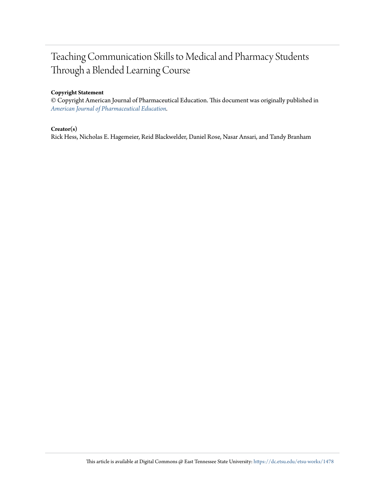## Teaching Communication Skills to Medical and Pharmacy Students Through a Blended Learning Course

#### **Copyright Statement**

© Copyright American Journal of Pharmaceutical Education. This document was originally published in *[American Journal of Pharmaceutical Education](https://doi.org/10.5688/ajpe80464).*

#### **Creator(s)**

Rick Hess, Nicholas E. Hagemeier, Reid Blackwelder, Daniel Rose, Nasar Ansari, and Tandy Branham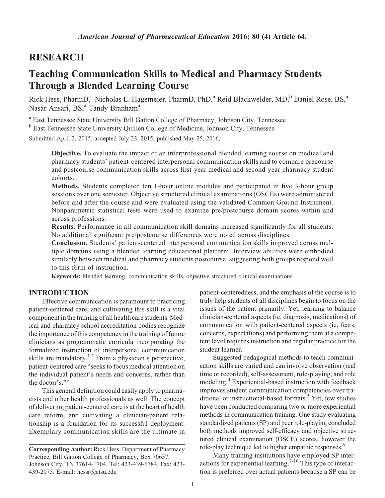### RESEARCH

### Teaching Communication Skills to Medical and Pharmacy Students Through a Blended Learning Course

Rick Hess, PharmD,<sup>a</sup> Nicholas E. Hagemeier, PharmD, PhD,<sup>a</sup> Reid Blackwelder, MD,<sup>b</sup> Daniel Rose, BS,<sup>a</sup> Nasar Ansari, BS,<sup>a</sup> Tandy Branham<sup>a</sup>

<sup>a</sup> East Tennessee State University Bill Gatton College of Pharmacy, Johnson City, Tennessee

<sup>b</sup> East Tennessee State University Quillen College of Medicine, Johnson City, Tennessee

Submitted April 2, 2015; accepted July 23, 2015; published May 25, 2016.

Objective. To evaluate the impact of an interprofessional blended learning course on medical and pharmacy students' patient-centered interpersonal communication skills and to compare precourse and postcourse communication skills across first-year medical and second-year pharmacy student cohorts.

Methods. Students completed ten 1-hour online modules and participated in five 3-hour group sessions over one semester. Objective structured clinical examinations (OSCEs) were administered before and after the course and were evaluated using the validated Common Ground Instrument. Nonparametric statistical tests were used to examine pre/postcourse domain scores within and across professions.

Results. Performance in all communication skill domains increased significantly for all students. No additional significant pre/postcourse differences were noted across disciplines.

Conclusion. Students' patient-centered interpersonal communication skills improved across multiple domains using a blended learning educational platform. Interview abilities were embodied similarly between medical and pharmacy students postcourse, suggesting both groups respond well to this form of instruction.

Keywords: blended learning, communication skills, objective structured clinical examinations

#### INTRODUCTION

Effective communication is paramount to practicing patient-centered care, and cultivating this skill is a vital component in the training of all health care students. Medical and pharmacy school accreditation bodies recognize the importance of this competency in the training of future clinicians as programmatic curricula incorporating the formalized instruction of interpersonal communication skills are mandatory.<sup>1,2</sup> From a physician's perspective, patient-centered care "seeks to focus medical attention on the individual patient's needs and concerns, rather than the doctor's."3

This general definition could easily apply to pharmacists and other health professionals as well. The concept of delivering patient-centered care is at the heart of health care reform, and cultivating a clinician-patient relationship is a foundation for its successful deployment. Exemplary communication skills are the ultimate in

Corresponding Author: Rick Hess, Department of Pharmacy Practice, Bill Gatton College of Pharmacy, Box 70657, Johnson City, TN 37614-1704. Tel: 423-439-6784. Fax: 423- 439-2075. E-mail: [hessr@etsu.edu](mailto:hessr@etsu.edu)

patient-centeredness, and the emphasis of the course is to truly help students of all disciplines begin to focus on the issues of the patient primarily. Yet, learning to balance clinician-centered aspects (ie, diagnosis, medications) of communication with patient-centered aspects (ie, fears, concerns, expectations) and performing them at a competent level requires instruction and regular practice for the student learner.

Suggested pedagogical methods to teach communication skills are varied and can involve observation (real time or recorded), self-assessment, role-playing, and role modeling.<sup>4</sup> Experiential-based instruction with feedback improves student communication competencies over traditional or instructional-based formats.<sup>5</sup> Yet, few studies have been conducted comparing two or more experiential methods in communication training. One study evaluating standardized patients (SP) and peer role-playing concluded both methods improved self-efficacy and objective structured clinical examination (OSCE) scores, however the role-play technique led to higher empathic responses.<sup>6</sup>

Many training institutions have employed SP interactions for experiential learning.<sup>7-10</sup> This type of interaction is preferred over actual patients because a SP can be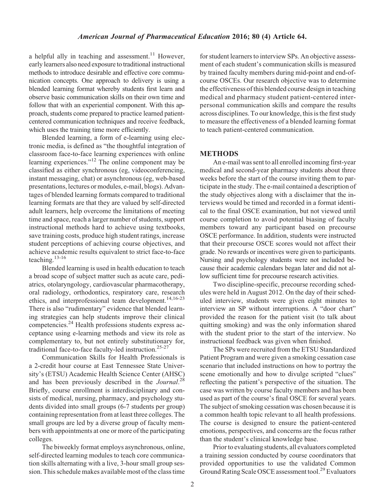a helpful ally in teaching and assessment.<sup>11</sup> However, early learners also need exposure to traditional instructional methods to introduce desirable and effective core communication concepts. One approach to delivery is using a blended learning format whereby students first learn and observe basic communication skills on their own time and follow that with an experiential component. With this approach, students come prepared to practice learned patientcentered communication techniques and receive feedback, which uses the training time more efficiently.

Blended learning, a form of e-learning using electronic media, is defined as "the thoughtful integration of classroom face-to-face learning experiences with online learning experiences."<sup>12</sup> The online component may be classified as either synchronous (eg, videoconferencing, instant messaging, chat) or asynchronous (eg, web-based presentations, lectures or modules, e-mail, blogs). Advantages of blended learning formats compared to traditional learning formats are that they are valued by self-directed adult learners, help overcome the limitations of meeting time and space, reach a larger number of students, support instructional methods hard to achieve using textbooks, save training costs, produce high student ratings, increase student perceptions of achieving course objectives, and achieve academic results equivalent to strict face-to-face teaching.13-16

Blended learning is used in health education to teach a broad scope of subject matter such as acute care, pediatrics, otolaryngology, cardiovascular pharmacotherapy, oral radiology, orthodontics, respiratory care, research ethics, and interprofessional team development.<sup>14,16-23</sup> There is also "rudimentary" evidence that blended learning strategies can help students improve their clinical competencies.24 Health professions students express acceptance using e-learning methods and view its role as complementary to, but not entirely substitutionary for, traditional face-to-face faculty-led instruction.25-27

Communication Skills for Health Professionals is a 2-credit hour course at East Tennessee State University's (ETSU) Academic Health Science Center (AHSC) and has been previously described in the Journal.<sup>28</sup> Briefly, course enrollment is interdisciplinary and consists of medical, nursing, pharmacy, and psychology students divided into small groups (6-7 students per group) containing representation from at least three colleges. The small groups are led by a diverse group of faculty members with appointments at one or more of the participating colleges.

The biweekly format employs asynchronous, online, self-directed learning modules to teach core communication skills alternating with a live, 3-hour small group session. This schedule makes available most of the class time

for student learners to interview SPs. An objective assessment of each student's communication skills is measured by trained faculty members during mid-point and end-ofcourse OSCEs. Our research objective was to determine the effectiveness of this blended course design in teaching medical and pharmacy student patient-centered interpersonal communication skills and compare the results across disciplines. To our knowledge, this is the first study to measure the effectiveness of a blended learning format to teach patient-centered communication.

#### **METHODS**

An e-mail was sent to all enrolled incoming first-year medical and second-year pharmacy students about three weeks before the start of the course inviting them to participate in the study. The e-mail contained a description of the study objectives along with a disclaimer that the interviews would be timed and recorded in a format identical to the final OSCE examination, but not viewed until course completion to avoid potential biasing of faculty members toward any participant based on precourse OSCE performance. In addition, students were instructed that their precourse OSCE scores would not affect their grade. No rewards or incentives were given to participants. Nursing and psychology students were not included because their academic calendars began later and did not allow sufficient time for precourse research activities.

Two discipline-specific, precourse recording schedules were held in August 2012. On the day of their scheduled interview, students were given eight minutes to interview an SP without interruptions. A "door chart" provided the reason for the patient visit (to talk about quitting smoking) and was the only information shared with the student prior to the start of the interview. No instructional feedback was given when finished.

The SPs were recruited from the ETSU Standardized Patient Program and were given a smoking cessation case scenario that included instructions on how to portray the scene emotionally and how to divulge scripted "clues" reflecting the patient's perspective of the situation. The case was written by course faculty members and has been used as part of the course's final OSCE for several years. The subject of smoking cessation was chosen because it is a common health topic relevant to all health professions. The course is designed to ensure the patient-centered emotions, perspectives, and concerns are the focus rather than the student's clinical knowledge base.

Prior to evaluating students, all evaluators completed a training session conducted by course coordinators that provided opportunities to use the validated Common Ground Rating Scale OSCE assessment tool.<sup>29</sup> Evaluators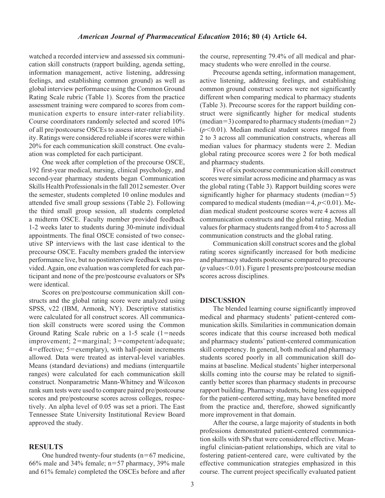watched a recorded interview and assessed six communication skill constructs (rapport building, agenda setting, information management, active listening, addressing feelings, and establishing common ground) as well as global interview performance using the Common Ground Rating Scale rubric (Table 1). Scores from the practice assessment training were compared to scores from communication experts to ensure inter-rater reliability. Course coordinators randomly selected and scored 10% of all pre/postcourse OSCEs to assess inter-rater reliability. Ratings were considered reliable if scores were within 20% for each communication skill construct. One evaluation was completed for each participant.

One week after completion of the precourse OSCE, 192 first-year medical, nursing, clinical psychology, and second-year pharmacy students began Communication Skills Health Professionals in the fall 2012 semester. Over the semester, students completed 10 online modules and attended five small group sessions (Table 2). Following the third small group session, all students completed a midterm OSCE. Faculty member provided feedback 1-2 weeks later to students during 30-minute individual appointments. The final OSCE consisted of two consecutive SP interviews with the last case identical to the precourse OSCE. Faculty members graded the interview performance live, but no postinterview feedback was provided. Again, one evaluation was completed for each participant and none of the pre/postcourse evaluators or SPs were identical.

Scores on pre/postcourse communication skill constructs and the global rating score were analyzed using SPSS, v22 (IBM, Armonk, NY). Descriptive statistics were calculated for all construct scores. All communication skill constructs were scored using the Common Ground Rating Scale rubric on a 1-5 scale  $(1=$ needs improvement;  $2 =$ marginal;  $3 =$ competent/adequate;  $4=$ effective;  $5=$ exemplary), with half-point increments allowed. Data were treated as interval-level variables. Means (standard deviations) and medians (interquartile ranges) were calculated for each communication skill construct. Nonparametric Mann-Whitney and Wilcoxon rank sum tests were used to compare paired pre/postcourse scores and pre/postcourse scores across colleges, respectively. An alpha level of 0.05 was set a priori. The East Tennessee State University Institutional Review Board approved the study.

#### RESULTS

One hundred twenty-four students  $(n=67 \text{ medicine})$ , 66% male and 34% female;  $n=57$  pharmacy, 39% male and 61% female) completed the OSCEs before and after the course, representing 79.4% of all medical and pharmacy students who were enrolled in the course.

Precourse agenda setting, information management, active listening, addressing feelings, and establishing common ground construct scores were not significantly different when comparing medical to pharmacy students (Table 3). Precourse scores for the rapport building construct were significantly higher for medical students  $(\text{median}=3)$  compared to pharmacy students  $(\text{median}=2)$  $(p<0.01)$ . Median medical student scores ranged from 2 to 3 across all communication constructs, whereas all median values for pharmacy students were 2. Median global rating precource scores were 2 for both medical and pharmacy students.

Five of six postcourse communication skill construct scores were similar across medicine and pharmacy as was the global rating (Table 3). Rapport building scores were significantly higher for pharmacy students (median=5) compared to medical students (median=4,  $p<0.01$ ). Median medical student postcourse scores were 4 across all communication constructs and the global rating. Median values for pharmacy students ranged from 4 to 5 across all communication constructs and the global rating.

Communication skill construct scores and the global rating scores significantly increased for both medicine and pharmacy students postcourse compared to precourse  $(p \text{ values} < 0.01)$ . Figure 1 presents pre/postcourse median scores across disciplines.

#### **DISCUSSION**

The blended learning course significantly improved medical and pharmacy students' patient-centered communication skills. Similarities in communication domain scores indicate that this course increased both medical and pharmacy students' patient-centered communication skill competency. In general, both medical and pharmacy students scored poorly in all communication skill domains at baseline. Medical students' higher interpersonal skills coming into the course may be related to significantly better scores than pharmacy students in precourse rapport building. Pharmacy students, being less equipped for the patient-centered setting, may have benefited more from the practice and, therefore, showed significantly more improvement in that domain.

After the course, a large majority of students in both professions demonstrated patient-centered communication skills with SPs that were considered effective. Meaningful clinician-patient relationships, which are vital to fostering patient-centered care, were cultivated by the effective communication strategies emphasized in this course. The current project specifically evaluated patient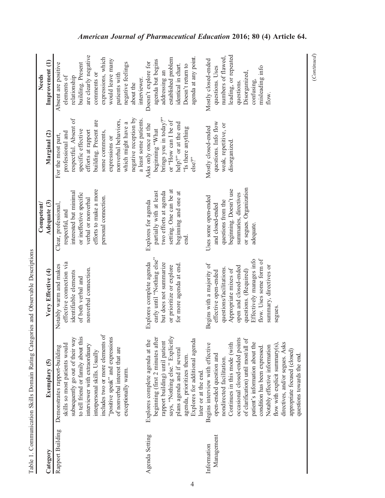|                           | Table 1. Communication Skills Domain Rating Categories and Observable Descriptions                                                                                                                                                                                                                                                                                                                                                                              |                                                                                                                                                                                                                                                     |                                                                                                                                                           |                                                                                      |                                                                                                                                                               |
|---------------------------|-----------------------------------------------------------------------------------------------------------------------------------------------------------------------------------------------------------------------------------------------------------------------------------------------------------------------------------------------------------------------------------------------------------------------------------------------------------------|-----------------------------------------------------------------------------------------------------------------------------------------------------------------------------------------------------------------------------------------------------|-----------------------------------------------------------------------------------------------------------------------------------------------------------|--------------------------------------------------------------------------------------|---------------------------------------------------------------------------------------------------------------------------------------------------------------|
|                           |                                                                                                                                                                                                                                                                                                                                                                                                                                                                 |                                                                                                                                                                                                                                                     | Competent/                                                                                                                                                |                                                                                      | <b>Needs</b>                                                                                                                                                  |
| Category                  | Exemplary (5)                                                                                                                                                                                                                                                                                                                                                                                                                                                   | Very Effective (4)                                                                                                                                                                                                                                  | Adequate (3)                                                                                                                                              | Marginal (2)                                                                         | Improvement (1)                                                                                                                                               |
| Rapport Building          | subsequently go out of their way<br>skills so most patients would<br>Demonstrates rapport-building                                                                                                                                                                                                                                                                                                                                                              | effective connection via<br>Notably warm and makes<br>identifiable elements                                                                                                                                                                         | interested but minimal<br>Clear, professional,<br>respectful, and                                                                                         | respectful. Absent of<br>professional and<br>For the most part,                      | Absent are positive<br>relationship<br>elements of                                                                                                            |
|                           | to tell friend or family about this<br>interviewer with extraordinary<br>interpersonal skills. Usually                                                                                                                                                                                                                                                                                                                                                          | nonverbal connection.<br>of both verbal and                                                                                                                                                                                                         | efforts to make a more<br>or ineffective specific<br>verbal or nonverbal                                                                                  | building. Present are<br>specific effective<br>efforts at rapport                    | are clearly negative<br>building. Present<br>comments or                                                                                                      |
|                           | includes two or more elements of<br>"positive speak" and expressions<br>of nonverbal interest that are                                                                                                                                                                                                                                                                                                                                                          |                                                                                                                                                                                                                                                     | personal connection.                                                                                                                                      | nonverbal behaviors,<br>some comments,<br>expressions or                             | expressions, which<br>would leave many<br>patients with                                                                                                       |
|                           | exceptionally warm.                                                                                                                                                                                                                                                                                                                                                                                                                                             |                                                                                                                                                                                                                                                     |                                                                                                                                                           | negative reception by<br>a least some patients.<br>which might have a                | negative feelings<br>interviewer.<br>about the                                                                                                                |
| Agenda Setting            | beginning (first 2 minutes after<br>Explores complete agenda at the                                                                                                                                                                                                                                                                                                                                                                                             | early until "Nothing else"<br>Explores complete agenda                                                                                                                                                                                              | partially with at least<br>Explores for agenda                                                                                                            | Asks only once at the<br>beginning "What                                             | agenda but begins<br>Doesn't explore for                                                                                                                      |
|                           | says, "Nothing else." Explicitly<br>rapport building) until patient                                                                                                                                                                                                                                                                                                                                                                                             | but does not summarize<br>or prioritize or explore                                                                                                                                                                                                  | setting. One can be at<br>two efforts at agenda                                                                                                           | brings you in today?"<br>or "How can I be of                                         | established problem<br>addressing an                                                                                                                          |
|                           | Explores for additional agenda<br>plans agenda and if several<br>agenda, prioritizes them.                                                                                                                                                                                                                                                                                                                                                                      | for more agenda at end.                                                                                                                                                                                                                             | beginning and one at<br>end.                                                                                                                              | help?" or at the end<br>"Is there anything<br>else?"                                 | agenda at any point.<br>identical in chart.<br>Doesn't return to                                                                                              |
| Management<br>Information | occasional closed-ended points<br>of clarification) until most/all of<br>Continues in this mode (with<br>patient's information about the<br>Begins interview with effective<br>directives, and/or segues. Asks<br>flow with explicit summary(s)<br>Notably effective information<br>condition has been expressed.<br>appropriate focused (closed)<br>open-ended question and<br>questions towards the end.<br>nondirected facilitation.<br>later or at the end. | Effectively manages info<br>flow. Uses some form of<br>Begins with a majority of<br>open and closed-ended<br>summary, directives or<br>questions/facilitations.<br>questions. (Required)<br>Appropriate mixes of<br>effective open-ended<br>segues. | or segues. Organization<br>beginning. Doesn't use<br>summaries, directives<br>Uses some open-ended<br>questions from the<br>and closed-ended<br>adequate. | questions. Info flow<br>weak, repetitive, or<br>Mostly closed-ended<br>disorganized. | leading, or repeated<br>numbers of flawed,<br>Mostly closed-ended<br>questions. Uses<br>misleading info<br>Disorganized,<br>confusing,<br>questions.<br>flow. |

### American Journal of Pharmaceutical Education 2016; 80 (4) Article 64.

(Continued)

 $(Continued)$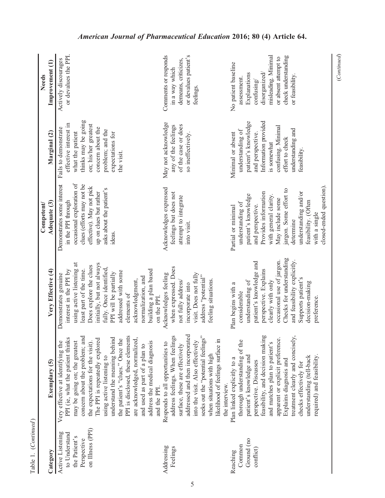|                  |                                    |                             | Competent/                 |                       | <b>Needs</b>          |
|------------------|------------------------------------|-----------------------------|----------------------------|-----------------------|-----------------------|
| Category         | Exemplary (5)                      | Very Effective (4)          | Adequate (3)               | Marginal (2)          | Improvement (1)       |
| Active Listening | Very effective at identifying the  | Demonstrates genuine        | Demonstrates some interest | Fails to demonstrate  | Actively discourages  |
| to Understand    | PPI (ie, what the patient thinks   | interest in the PPI by      | in the PPI through         | effective interest in | or devalues the PPI.  |
| the Patient's    | may be going on; the greatest      | using active listening at   | occasional exploration of  | what the patient      |                       |
| Perspective      | concern about the problem; and     | least part of the time.     | clues (efforts may not be  | thinks may be going   |                       |
| on Illness (PPI) | the expectations for the visit).   | Does explore the clues      | effective). May not pick   | on; his/her greatest  |                       |
|                  | The PPI is repeatedly explored     | initially, but not always   | up on clues but rather     | concern about the     |                       |
|                  | using active listening to          | fully. Once identified,     | asks about the patient's   | problem; and the      |                       |
|                  | understand the meaning behind      | PPI will be partially       | ideas.                     | expectations for      |                       |
|                  | the patient's "clues." Once the    | addressed with some         |                            | the visit.            |                       |
|                  | PPI is disclosed, these elements   | elements of                 |                            |                       |                       |
|                  | are acknowledged, normalized,      | acknowledgment,             |                            |                       |                       |
|                  | and used as part of a plan to      | normalization, and          |                            |                       |                       |
|                  | address the medical diagnosis      | building a plan based       |                            |                       |                       |
|                  | and the PPI.                       | on the PPI.                 |                            |                       |                       |
| Addressing       | Responds to all opportunities to   | Acknowledges feeling        | Acknowledges expressed     | May not acknowledge   | Comments or responds  |
| Feelings         | address feelings. When feelings    | when expressed. Does        | feelings but does not      | any of the feelings   | in a way which        |
|                  | surface, these are effectively     | not fully address/          | attempt to integrate       | of the case or does   | demeans, criticizes,  |
|                  | addressed and then incorporated    | incorporate into            | into visit.                | so ineffectively.     | or devalues patient's |
|                  | into the visit. Also effectively   | visit. Does not fully       |                            |                       | feelings.             |
|                  | seeks out the "potential feelings" | address "potential"         |                            |                       |                       |
|                  | when situations with high          | feeling situations.         |                            |                       |                       |
|                  | likelihood of feelings surface in  |                             |                            |                       |                       |
|                  | the interview.                     |                             |                            |                       |                       |
| Reaching         | Plan linked explicitly to a        | Plan begins with a          | Partial or minimal         | Minimal or absent     | No patient baseline   |
| Common           | thorough understanding of the      | considerable                | understanding of           | understanding of      | assessment.           |
| Ground (no       | patient's knowledge and            | understanding of            | patient's knowledge        | patient's knowledge   | Explanations          |
| conflict)        | perspective. Discusses             | patient's knowledge and     | and perspective.           | and perspective.      | confusing/            |
|                  | feasibility, and decision making   | perspective. Explains       | Provides information       | Information provided  | disorganized/         |
|                  | and matches plan to patient's      | clearly with only           | with general clarity.      | is somewhat           | misleading. Minimal   |
|                  | apparent or explicit preference.   | occasional use of jargon.   | May include some           | confusing. Minimal    | or absent attempt to  |
|                  | Explains diagnosis and             | Checks for understanding    | jargon. Some effort to     | effort to check       | check understanding   |
|                  | treatment clearly and concisely,   | and feasibility explicitly. | determine                  | understanding and     | or feasibility.       |
|                  | checks effectively for             | Supports patient's          | understanding and/or       | feasibility.          |                       |
|                  | understanding (tell-back           | decision-making             | feasibility. (Often        |                       |                       |
|                  | required) and feasibility.         | preference.                 | with a single              |                       |                       |
|                  |                                    |                             | closed-ended question).    |                       |                       |

### American Journal of Pharmaceutical Education 2016; 80 (4) Article 64.

(Continued)

 $(Continued) % \begin{minipage}[b]{0.5\linewidth} \centering \centerline{\includegraphics[width=0.5\linewidth]{images/STM1000.pdf} \centerline{\includegraphics[width=0.5\linewidth]{images/STM1000.pdf} \centerline{\includegraphics[width=0.5\linewidth]{images/STM1000.pdf} \centerline{\includegraphics[width=0.5\linewidth]{images/STM1000.pdf} \centerline{\includegraphics[width=0.5\linewidth]{images/STM1000.pdf} \centerline{\includegraphics[width=0.5\linewidth]{images/STM1000.pdf} \centerline{\includegraphics[width=0.5\linewidth]{images/STM1000.pdf} \centerline{\includegraphics[width=0.5\linewidth]{images/STM100$ 

Table 1. (Continued)

Table 1. (Continued)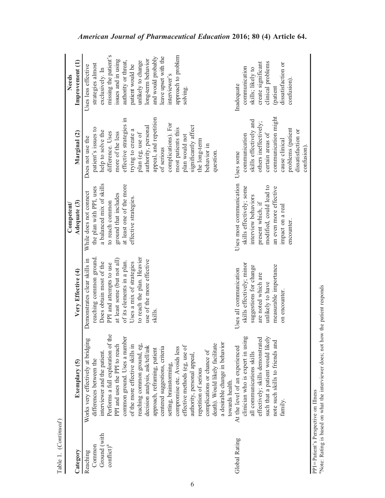| Table 1. (Continued)          |                                                                    |                                                        |                                                   |                                         |                                              |
|-------------------------------|--------------------------------------------------------------------|--------------------------------------------------------|---------------------------------------------------|-----------------------------------------|----------------------------------------------|
| Category                      | Exemplary (5)                                                      | Very Effective (4)                                     | Adequate (3)<br>Competent/                        | Marginal (2)                            | Improvement (1)<br><b>Needs</b>              |
| Common<br>Reaching            | Works very effectively at bridging<br>differences between the      | reaching common ground<br>Demonstrates clear skills in | the plan with PPI, uses<br>While does not connect | patient's issues to<br>Does not use the | strategies almost<br>Uses less effective     |
| Ground (with<br>$conflict)^a$ | Performs a full exploration of the<br>interviewer and the patient. | Does obtain most of the                                | a balanced mix of skills                          | help to solve the                       | exclusively. In                              |
|                               | PPI and uses the PPI to reach                                      | at least some (but not all)<br>PPI and attempts to use | ground that includes<br>to reach common           | difference. Uses<br>more of the less    | missing the patient's<br>issues and in using |
|                               | common ground. Uses a number<br>of the more effective skills in    | of its elements in a plan.<br>Uses a mix of strategies | at least one of the more<br>effective strategies  | effective strategies in                 | authority or threat,<br>patient would be     |
|                               | reaching common ground, eg,                                        | to reach the plan. Heavier                             |                                                   | trying to create a<br>plan (eg, use of  | unlikely to change                           |
|                               | decision analysis, ask/tell/ask                                    | use of the more effective                              |                                                   | authority, personal                     | long-term behavior                           |
|                               | centered suggestions, criteria<br>approach, reframing, patient     | skills.                                                |                                                   | appeal, and repetition<br>of serious    | leave upset with the<br>and would probably   |
|                               | setting, brainstorming,                                            |                                                        |                                                   | complications). For                     | interviewer's                                |
|                               | compromise etc. Avoids less                                        |                                                        |                                                   | most patients this                      | approach to problem                          |
|                               | effective methods (eg, use of                                      |                                                        |                                                   | plan would not                          | solving.                                     |
|                               | authority, personal appeal,                                        |                                                        |                                                   | significantly affect                    |                                              |
|                               | repetition of serious                                              |                                                        |                                                   | the long-term                           |                                              |
|                               | complications or chance of                                         |                                                        |                                                   | behavior in                             |                                              |
|                               | death). Would likely facilitate                                    |                                                        |                                                   | question.                               |                                              |
|                               | a desirable change in behavior<br>towards health.                  |                                                        |                                                   |                                         |                                              |
| Global Rating                 | At the level of an experienced                                     | Uses all communication                                 | Uses most communication                           | Uses some                               | Inadequate                                   |
|                               | clinician who is expert in using                                   | skills effectively; minor                              | skills effectively; some                          | communication                           | communication                                |
|                               | all communications skills                                          | suggestions for change                                 | interview behaviors                               | skills effectively and                  | skills; likely to                            |
|                               | effectively; skills demonstrated                                   | are noted which are                                    | present which, if                                 | others ineffectively;                   | create significant                           |
|                               | such that a patient would likely                                   | unlikely to have                                       | modified, could lead to                           | certain areas of                        | clinical problems                            |
|                               | note such skills to friends and                                    | measurable importance                                  | an even more effective                            | communication might                     | (patient                                     |
|                               | family.                                                            | on encounter.                                          | impact on a real                                  | cause clinical                          | dissatisfaction or                           |
|                               |                                                                    |                                                        | encounter.                                        | problems (patient                       | confusion).                                  |
|                               |                                                                    |                                                        |                                                   | dissatisfaction or                      |                                              |
|                               |                                                                    |                                                        |                                                   | confusion).                             |                                              |

PPI=Patient's Perspective on Illness<br><sup>a</sup>Note: Rating is based on what the interviewer does; not how the patient responds PPI=Patient's Perspective on Illness<br>"Note: Rating is based on what the interviewer does; not how the patient responds

### American Journal of Pharmaceutical Education 2016; 80 (4) Article 64.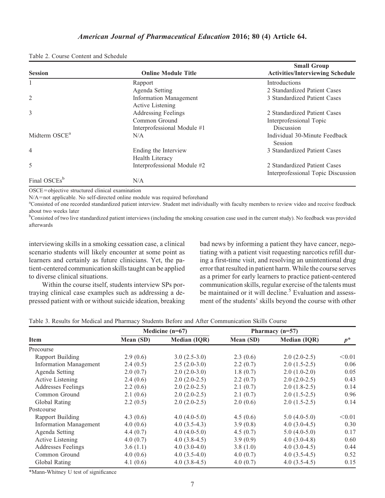| <b>Session</b>            | <b>Online Module Title</b>                               | <b>Small Group</b><br><b>Activities/Interviewing Schedule</b>      |
|---------------------------|----------------------------------------------------------|--------------------------------------------------------------------|
|                           | Rapport                                                  | Introductions                                                      |
|                           | Agenda Setting                                           | 2 Standardized Patient Cases                                       |
| 2                         | <b>Information Management</b><br><b>Active Listening</b> | 3 Standardized Patient Cases                                       |
| 3                         | <b>Addressing Feelings</b>                               | 2 Standardized Patient Cases                                       |
|                           | Common Ground<br>Interprofessional Module #1             | Interprofessional Topic<br>Discussion                              |
| Midterm OSCE <sup>a</sup> | N/A                                                      | Individual 30-Minute Feedback<br>Session                           |
| $\overline{4}$            | Ending the Interview                                     | 3 Standardized Patient Cases                                       |
|                           | Health Literacy                                          |                                                                    |
| 5                         | Interprofessional Module #2                              | 2 Standardized Patient Cases<br>Interprofessional Topic Discussion |
| Final OSCEs <sup>b</sup>  | N/A                                                      |                                                                    |

#### Table 2. Course Content and Schedule

OSCE=objective structured clinical examination

 $N/A$ =not applicable. No self-directed online module was required beforehand

Consisted of one recorded standardized patient interview. Student met individually with faculty members to review video and receive feedback about two weeks later

<sup>b</sup>Consisted of two live standardized patient interviews (including the smoking cessation case used in the current study). No feedback was provided afterwards

interviewing skills in a smoking cessation case, a clinical scenario students will likely encounter at some point as learners and certainly as future clinicians. Yet, the patient-centered communication skills taught can be applied to diverse clinical situations.

Within the course itself, students interview SPs portraying clinical case examples such as addressing a depressed patient with or without suicide ideation, breaking bad news by informing a patient they have cancer, negotiating with a patient visit requesting narcotics refill during a first-time visit, and resolving an unintentional drug error that resulted in patient harm.While the course serves as a primer for early learners to practice patient-centered communication skills, regular exercise of the talents must be maintained or it will decline.<sup>5</sup> Evaluation and assessment of the students' skills beyond the course with other

| Table 3. Results for Medical and Pharmacy Students Before and After Communication Skills Course |  |  |
|-------------------------------------------------------------------------------------------------|--|--|
|-------------------------------------------------------------------------------------------------|--|--|

|                               |             | Medicine $(n=67)$ |           | Pharmacy $(n=57)$   |        |
|-------------------------------|-------------|-------------------|-----------|---------------------|--------|
| <b>Item</b>                   | Mean (SD)   | Median (IQR)      | Mean (SD) | <b>Median (IQR)</b> | $p^*$  |
| Precourse                     |             |                   |           |                     |        |
| Rapport Building              | 2.9(0.6)    | $3.0(2.5-3.0)$    | 2.3(0.6)  | $2.0(2.0-2.5)$      | < 0.01 |
| <b>Information Management</b> | 2.4(0.5)    | $2.5(2.0-3.0)$    | 2.2(0.7)  | $2.0(1.5-2.5)$      | 0.06   |
| Agenda Setting                | 2.0(0.7)    | $2.0(2.0-3.0)$    | 1.8(0.7)  | $2.0(1.0-2.0)$      | 0.05   |
| <b>Active Listening</b>       | 2.4(0.6)    | $2.0(2.0-2.5)$    | 2.2(0.7)  | $2.0(2.0-2.5)$      | 0.43   |
| <b>Addresses Feelings</b>     | 2.2(0.6)    | $2.0(2.0-2.5)$    | 2.1(0.7)  | $2.0(1.8-2.5)$      | 0.14   |
| Common Ground                 | 2.1(0.6)    | $2.0(2.0-2.5)$    | 2.1(0.7)  | $2.0(1.5-2.5)$      | 0.96   |
| Global Rating                 | 2.2(0.5)    | $2.0(2.0-2.5)$    | 2.0(0.6)  | $2.0(1.5-2.5)$      | 0.14   |
| Postcourse                    |             |                   |           |                     |        |
| <b>Rapport Building</b>       | 4.3 $(0.6)$ | $4.0(4.0-5.0)$    | 4.5(0.6)  | $5.0(4.0-5.0)$      | < 0.01 |
| <b>Information Management</b> | 4.0(0.6)    | $4.0(3.5-4.3)$    | 3.9(0.8)  | $4.0(3.0-4.5)$      | 0.30   |
| Agenda Setting                | 4.4(0.7)    | $4.0(4.0-5.0)$    | 4.5(0.7)  | $5.0(4.0-5.0)$      | 0.17   |
| <b>Active Listening</b>       | 4.0(0.7)    | $4.0(3.8-4.5)$    | 3.9(0.9)  | $4.0(3.0-4.8)$      | 0.60   |
| <b>Addresses Feelings</b>     | 3.6(1.1)    | $4.0(3.0-4.0)$    | 3.8(1.0)  | $4.0(3.0-4.5)$      | 0.44   |
| Common Ground                 | 4.0(0.6)    | $4.0(3.5-4.0)$    | 4.0(0.7)  | $4.0(3.5-4.5)$      | 0.52   |
| Global Rating                 | 4.1 $(0.6)$ | $4.0(3.8-4.5)$    | 4.0(0.7)  | $4.0(3.5-4.5)$      | 0.15   |

\*Mann-Whitney U test of significance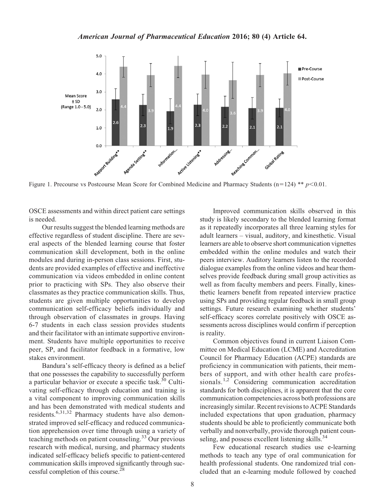

Figure 1. Precourse vs Postcourse Mean Score for Combined Medicine and Pharmacy Students (n=124) \*\*  $p<0.01$ .

OSCE assessments and within direct patient care settings is needed.

Our results suggest the blended learning methods are effective regardless of student discipline. There are several aspects of the blended learning course that foster communication skill development, both in the online modules and during in-person class sessions. First, students are provided examples of effective and ineffective communication via videos embedded in online content prior to practicing with SPs. They also observe their classmates as they practice communication skills. Thus, students are given multiple opportunities to develop communication self-efficacy beliefs individually and through observation of classmates in groups. Having 6-7 students in each class session provides students and their facilitator with an intimate supportive environment. Students have multiple opportunities to receive peer, SP, and facilitator feedback in a formative, low stakes environment.

Bandura's self-efficacy theory is defined as a belief that one possesses the capability to successfully perform a particular behavior or execute a specific task.<sup>30</sup> Cultivating self-efficacy through education and training is a vital component to improving communication skills and has been demonstrated with medical students and residents.6,31,32 Pharmacy students have also demonstrated improved self-efficacy and reduced communication apprehension over time through using a variety of teaching methods on patient counseling.<sup>33</sup> Our previous research with medical, nursing, and pharmacy students indicated self-efficacy beliefs specific to patient-centered communication skills improved significantly through successful completion of this course.<sup>2</sup>

Improved communication skills observed in this study is likely secondary to the blended learning format as it repeatedly incorporates all three learning styles for adult learners – visual, auditory, and kinesthetic. Visual learners are able to observe short communication vignettes embedded within the online modules and watch their peers interview. Auditory learners listen to the recorded dialogue examples from the online videos and hear themselves provide feedback during small group activities as well as from faculty members and peers. Finally, kinesthetic learners benefit from repeated interview practice using SPs and providing regular feedback in small group settings. Future research examining whether students' self-efficacy scores correlate positively with OSCE assessments across disciplines would confirm if perception is reality.

Common objectives found in current Liaison Committee on Medical Education (LCME) and Accreditation Council for Pharmacy Education (ACPE) standards are proficiency in communication with patients, their members of support, and with other health care professionals.<sup>1,2</sup> Considering communication accreditation standards for both disciplines, it is apparent that the core communication competencies across both professions are increasingly similar. Recent revisions to ACPE Standards included expectations that upon graduation, pharmacy students should be able to proficiently communicate both verbally and nonverbally, provide thorough patient counseling, and possess excellent listening skills.<sup>34</sup>

Few educational research studies use e-learning methods to teach any type of oral communication for health professional students. One randomized trial concluded that an e-learning module followed by coached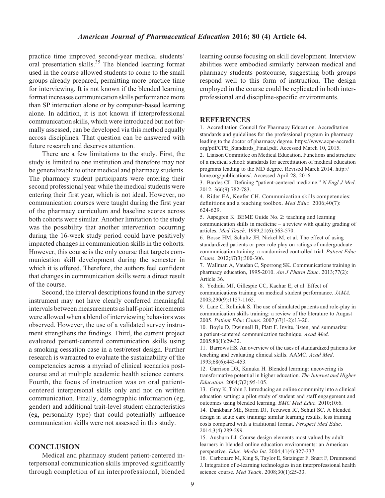practice time improved second-year medical students' oral presentation skills.<sup>35</sup> The blended learning format used in the course allowed students to come to the small groups already prepared, permitting more practice time for interviewing. It is not known if the blended learning format increases communication skills performance more than SP interaction alone or by computer-based learning alone. In addition, it is not known if interprofessional communication skills, which were introduced but not formally assessed, can be developed via this method equally across disciplines. That question can be answered with future research and deserves attention.

There are a few limitations to the study. First, the study is limited to one institution and therefore may not be generalizable to other medical and pharmacy students. The pharmacy student participants were entering their second professional year while the medical students were entering their first year, which is not ideal. However, no communication courses were taught during the first year of the pharmacy curriculum and baseline scores across both cohorts were similar. Another limitation to the study was the possibility that another intervention occurring during the 16-week study period could have positively impacted changes in communication skills in the cohorts. However, this course is the only course that targets communication skill development during the semester in which it is offered. Therefore, the authors feel confident that changes in communication skills were a direct result of the course.

Second, the interval descriptions found in the survey instrument may not have clearly conferred meaningful intervals between measurements as half-point increments were allowed when a blend of interviewing behaviors was observed. However, the use of a validated survey instrument strengthens the findings. Third, the current project evaluated patient-centered communication skills using a smoking cessation case in a test/retest design. Further research is warranted to evaluate the sustainability of the competencies across a myriad of clinical scenarios postcourse and at multiple academic health science centers. Fourth, the focus of instruction was on oral patientcentered interpersonal skills only and not on written communication. Finally, demographic information (eg, gender) and additional trait-level student characteristics (eg, personality type) that could potentially influence communication skills were not assessed in this study.

#### **CONCLUSION**

Medical and pharmacy student patient-centered interpersonal communication skills improved significantly through completion of an interprofessional, blended

learning course focusing on skill development. Interview abilities were embodied similarly between medical and pharmacy students postcourse, suggesting both groups respond well to this form of instruction. The design employed in the course could be replicated in both interprofessional and discipline-specific environments.

#### **REFERENCES**

1. Accreditation Council for Pharmacy Education. Accreditation standards and guidelines for the professional program in pharmacy leading to the doctor of pharmacy degree. [https://www.acpe-accredit.](https://www.acpe-accredit.org/pdf/CPE_Standards_Final.pdf) [org/pdf/CPE\\_Standards\\_Final.pdf](https://www.acpe-accredit.org/pdf/CPE_Standards_Final.pdf). Accessed March 10, 2015. 2. Liaison Committee on Medical Education. Functions and structure of a medical school: standards for accreditation of medical education

programs leading to the MD degree. Revised March 2014. [http://](http://lcme.org/publications/) [lcme.org/publications/.](http://lcme.org/publications/) Accessed April 28, 2016.

3. Bardes CL. Defining "patient-centered medicine." N Engl J Med. 2012. 366(9):782-783.

4. Rider EA, Keefer CH. Communication skills competencies: definitions and a teaching toolbox. Med Educ. 2006;40(7): 624-629.

5. Aspegren K. BEME Guide No. 2: teaching and learning communication skills in medicine – a review with quality grading of articles. Med Teach. 1999;21(6):563-570.

6. Bosse HM, Schultz JH, Nickel M, et al. The effect of using standardized patients or peer role play on ratings of undergraduate communication training: a randomized controlled trial. Patient Educ Couns. 2012;87(3):300-306.

7. Wallman A, Vaudan C, Sporrong SK. Communications training in pharmacy education, 1995-2010. Am J Pharm Educ. 2013;77(2): Article 36.

8. Yedidia MJ, Gillespie CC, Kachur E, et al. Effect of communications training on medical student performance. JAMA. 2003;290(9):1157-1165.

9. Lane C, Rollnick S. The use of simulated patients and role-play in communication skills training: a review of the literature to August 2005. Patient Educ Couns. 2007;67(1-2):13-20.

10. Boyle D, Dwinnell B, Platt F. Invite, listen, and summarize: a patient-centered communication technique. Acad Med. 2005;80(1):29-32.

11. Barrows HS. An overview of the uses of standardized patients for teaching and evaluating clinical skills. AAMC. Acad Med. 1993;68(6):443-453.

12. Garrison DR, Kanuka H. Blended learning: uncovering its transformative potential in higher education. The Internet and Higher Education. 2004;7(2):95-105.

13. Gray K, Tobin J. Introducing an online community into a clinical education setting: a pilot study of student and staff engagement and outcomes using blended learning. BMC Med Educ. 2010;10:6. 14. Dankbaar ME, Storm DJ, Teeuwen IC, Schuit SC. A blended design in acute care training: similar learning results, less training costs compared with a traditional format. Perspect Med Educ. 2014;3(4):289-299.

15. Ausburn LJ. Course design elements most valued by adult learners in blended online education environments: an American perspective. Educ. Media Int. 2004;41(4):327-337.

16. Carbonaro M, King S, Taylor E, Satzinger F, Snart F, Drummond J. Integration of e-learning technologies in an interprofessional health science course. Med Teach. 2008;30(1):25-33.